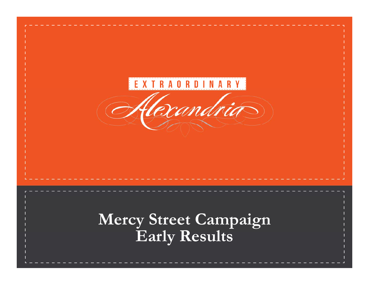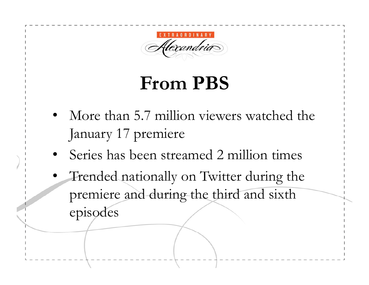

### **From PBS**

- More than 5.7 million viewers watched the January 17 premiere
- •Series has been streamed 2 million times
- • Trended nationally on Twitter during the premiere and during the third and sixth episodes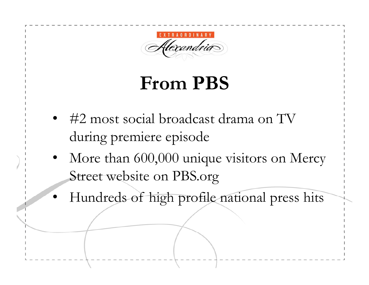flexandria

### **From PBS**

- #2 most social broadcast drama on TV during premiere episode
- • More than 600,000 unique visitors on Mercy Street website on PBS.org
- Hundreds of high profile national press hits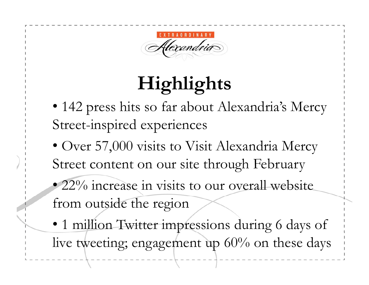Uexandria

- 142 press hits so far about Alexandria's Mercy Street-inspired experiences
- Over 57,000 visits to Visit Alexandria Mercy Street content on our site through February
- 22% increase in visits to our overall website from outside the region
- 1 million Twitter impressions during 6 days of live tweeting; engagement up 60% on these days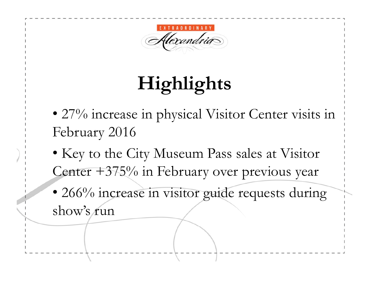

- 27% increase in physical Visitor Center visits in February 2016
- Key to the City Museum Pass sales at Visitor Center  $+375%$  in February over previous year
- 266% increase in visitor guide requests during show's run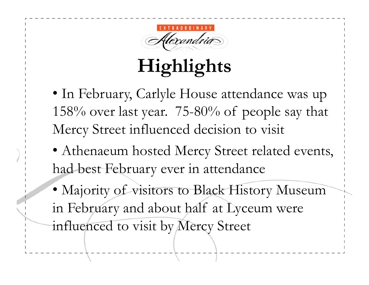

- In February, Carlyle House attendance was up 158% over last year. 75-80% of people say that Mercy Street influenced decision to visit
- Athenaeum hosted Mercy Street related events, had best February ever in attendance
- Majority of visitors to Black History Museum in February and about half at Lyceum were influenced to visit by Mercy Street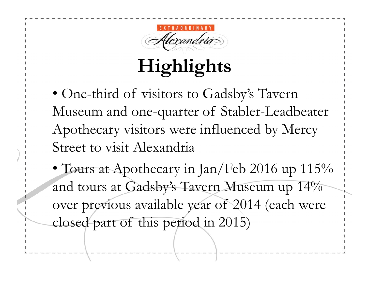

• One-third of visitors to Gadsby's Tavern Museum and one-quarter of Stabler-Leadbeater Apothecary visitors were influenced by Mercy Street to visit Alexandria

• Tours at Apothecary in Jan/Feb 2016 up 115% and tours at Gadsby's Tavern Museum up 14% over previous available year of 2014 (each were closed part of this period in 2015)